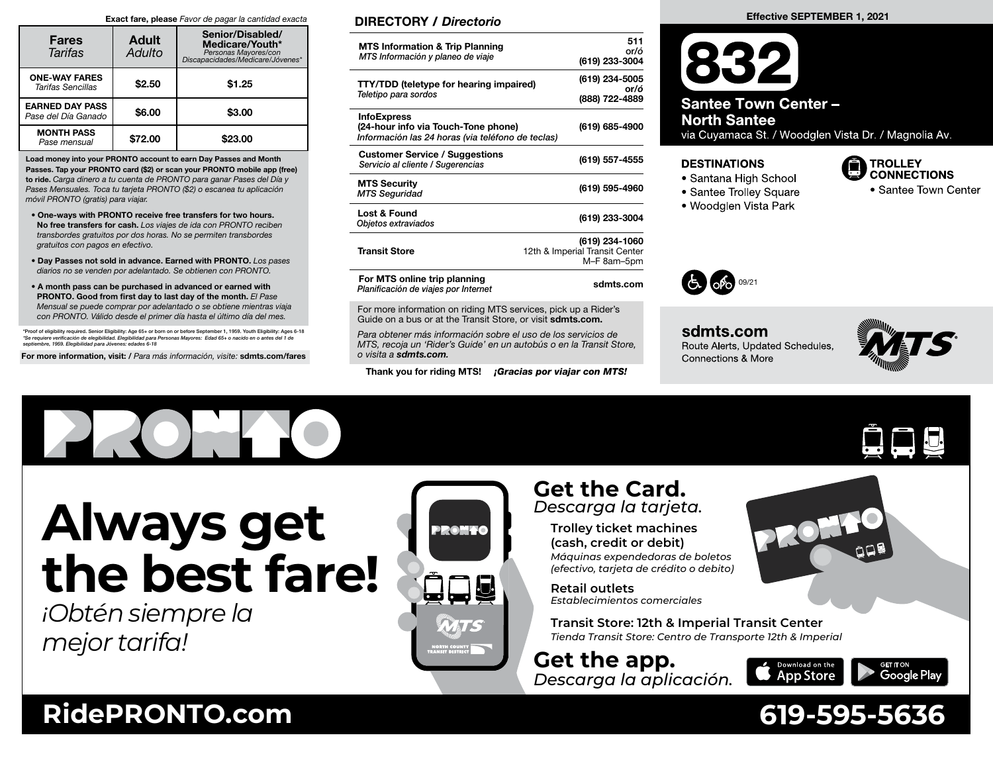### Exact fare, please Favor de pagar la cantidad exacta

| <b>Fares</b><br>Tarifas                       | <b>Adult</b><br>Adulto | Senior/Disabled/<br>Medicare/Youth*<br>Personas Mayores/con<br>Discapacidades/Medicare/Jóvenes* |  |
|-----------------------------------------------|------------------------|-------------------------------------------------------------------------------------------------|--|
| <b>ONE-WAY FARES</b><br>Tarifas Sencillas     | \$2.50                 | \$1.25                                                                                          |  |
| <b>EARNED DAY PASS</b><br>Pase del Día Ganado | \$6.00                 | \$3.00                                                                                          |  |
| <b>MONTH PASS</b><br>Pase mensual             | \$72.00                | \$23.00                                                                                         |  |

Load money into your PRONTO account to earn Day Passes and Month Passes. Tap your PRONTO card (\$2) or scan your PRONTO mobile app (free) to ride. Carga dinero a tu cuenta de PRONTO para ganar Pases del Día y Pases Mensuales. Toca tu tarjeta PRONTO (\$2) o escanea tu aplicación móvil PRONTO (gratis) para viajar.

- One-ways with PRONTO receive free transfers for two hours. No free transfers for cash. Los viajes de ida con PRONTO reciben transbordes gratuitos por dos horas. No se permiten transbordes gratuitos con pagos en efectivo.
- Day Passes not sold in advance. Earned with PRONTO. Los pases diarios no se venden por adelantado. Se obtienen con PRONTO.
- A month pass can be purchased in advanced or earned with PRONTO. Good from first day to last day of the month. El Pase Mensual se puede comprar por adelantado o se obtiene mientras viaja con PRONTO. Válido desde el primer día hasta el último día del mes.

\*Proof of eligibility required. Senior Eligibility: Age 65+ or born on or before September 1, 1959. Youth Eligibility: Ages 6-18<br>\*Se requiere verificación de elegibilidad. Elegibilidad para Personas Mayores: Edad 65+ o nac

For more information, visit: / Para más información, visite: sdmts.com/fares

### DIRECTORY / Directorio

| <b>MTS Information &amp; Trip Planning</b><br>MTS Información y planeo de viaje                                | 511<br>or/ó<br>(619) 233-3004                                   |
|----------------------------------------------------------------------------------------------------------------|-----------------------------------------------------------------|
| <b>TTY/TDD (teletype for hearing impaired)</b><br>Teletipo para sordos                                         | (619) 234-5005<br>or/ó<br>(888) 722-4889                        |
| <b>InfoExpress</b><br>(24-hour info via Touch-Tone phone)<br>Información las 24 horas (via teléfono de teclas) | (619) 685-4900                                                  |
| <b>Customer Service / Suggestions</b><br>Servicio al cliente / Sugerencias                                     | (619) 557-4555                                                  |
| <b>MTS Security</b><br><b>MTS Seguridad</b>                                                                    | (619) 595-4960                                                  |
| Lost & Found<br>Objetos extraviados                                                                            | (619) 233-3004                                                  |
| <b>Transit Store</b>                                                                                           | (619) 234-1060<br>12th & Imperial Transit Center<br>M-F 8am-5pm |
| For MTS online trip planning<br>Planificación de viajes por Internet                                           | sdmts.com                                                       |

For more information on riding MTS services, pick up a Rider's Guide on a bus or at the Transit Store, or visit sdmts.com.

Para obtener más información sobre el uso de los servicios de MTS, recoja un 'Rider's Guide' en un autobús o en la Transit Store, o visita a sdmts.com.

Thank you for riding MTS! *¡Gracias por viajar con MTS!* 

### Effective SEPTEMBER 1, 2021



**Santee Town Center -North Santee** via Cuyamaca St. / Woodglen Vista Dr. / Magnolia Av.

### **DESTINATIONS**

- Santana High School
- Santee Trolley Square
- Woodglen Vista Park



• Santee Town Center



sdmts.com Route Alerts, Updated Schedules, Connections & More



220 H

# **Always get the best fare!**

*¡Obtén siempre la mejor tarifa!*



### **Get the Card.** *Descarga la tarjeta.*

**Trolley ticket machines (cash, credit or debit)** *Máquinas expendedoras de boletos (efectivo, tarjeta de crédito o debito)*

**Retail outlets** *Establecimientos comerciales*

**Transit Store: 12th & Imperial Transit Center** *Tienda Transit Store: Centro de Transporte 12th & Imperial*

**Get the app.** *Descarga la aplicación.*



**App Store** 

Google Play

## **RidePRONTO.com 619-595-5636**